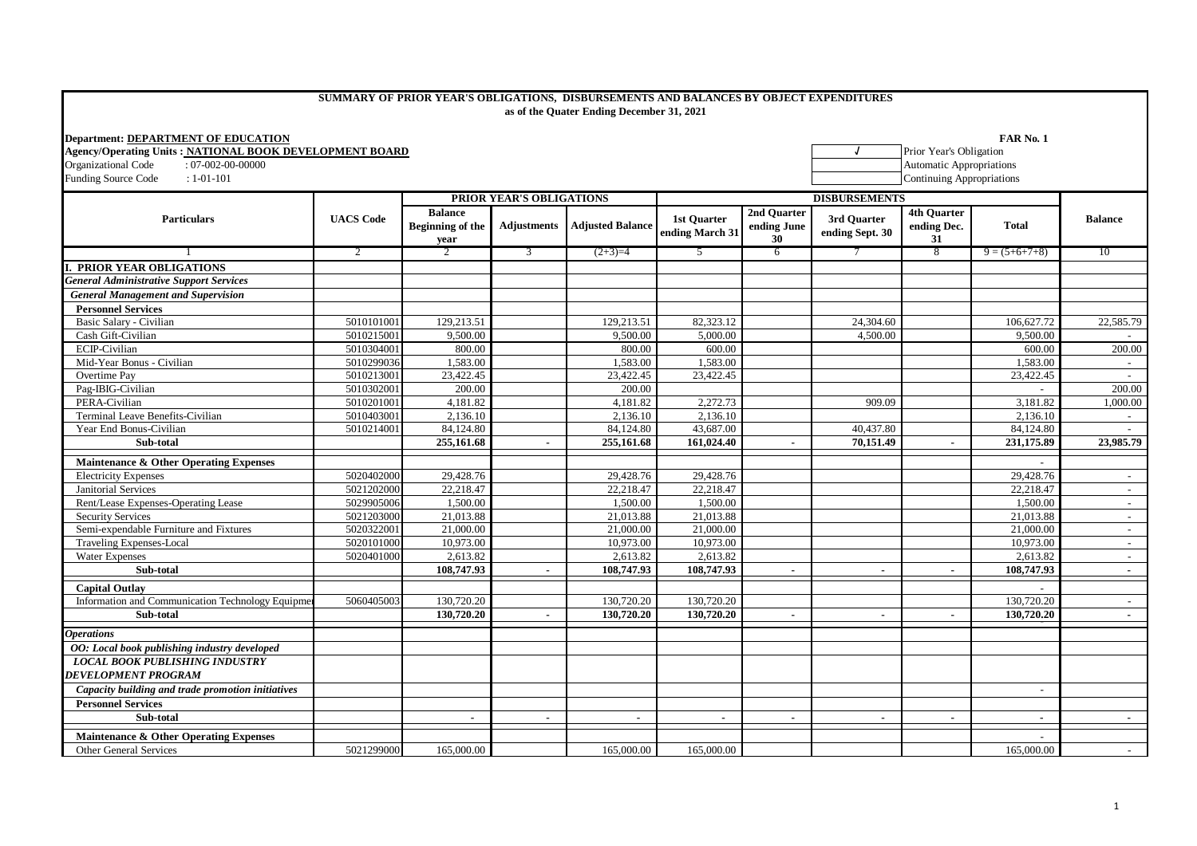## **SUMMARY OF PRIOR YEAR'S OBLIGATIONS, DISBURSEMENTS AND BALANCES BY OBJECT EXPENDITURES as of the Quater Ending December 31, 2021**

| <b>Department: DEPARTMENT OF EDUCATION</b>              |                  |                                                   |                          |                         |                                       |                                  |                                |                                                                     | <b>FAR No. 1</b> |                 |  |
|---------------------------------------------------------|------------------|---------------------------------------------------|--------------------------|-------------------------|---------------------------------------|----------------------------------|--------------------------------|---------------------------------------------------------------------|------------------|-----------------|--|
| Agency/Operating Units: NATIONAL BOOK DEVELOPMENT BOARD |                  |                                                   |                          |                         |                                       |                                  | Prior Year's Obligation        |                                                                     |                  |                 |  |
| Organizational Code<br>$: 07-002-00-00000$              |                  |                                                   |                          |                         |                                       |                                  |                                | <b>Automatic Appropriations</b><br><b>Continuing Appropriations</b> |                  |                 |  |
| <b>Funding Source Code</b><br>$: 1 - 01 - 101$          |                  |                                                   |                          |                         |                                       |                                  | <b>DISBURSEMENTS</b>           |                                                                     |                  |                 |  |
| <b>Particulars</b>                                      | <b>UACS Code</b> |                                                   | PRIOR YEAR'S OBLIGATIONS |                         |                                       |                                  |                                |                                                                     |                  |                 |  |
|                                                         |                  | <b>Balance</b><br><b>Beginning of the</b><br>year | <b>Adjustments</b>       | <b>Adjusted Balance</b> | <b>1st Ouarter</b><br>ending March 31 | 2nd Quarter<br>ending June<br>30 | 3rd Ouarter<br>ending Sept. 30 | 4th Ouarter<br>ending Dec.<br>31                                    | <b>Total</b>     | <b>Balance</b>  |  |
|                                                         | 2                |                                                   | 3                        | $(2+3)=4$               | 5                                     | 6                                |                                | 8                                                                   | $9 = (5+6+7+8)$  | 10              |  |
| <b>I. PRIOR YEAR OBLIGATIONS</b>                        |                  |                                                   |                          |                         |                                       |                                  |                                |                                                                     |                  |                 |  |
| <b>General Administrative Support Services</b>          |                  |                                                   |                          |                         |                                       |                                  |                                |                                                                     |                  |                 |  |
| <b>General Management and Supervision</b>               |                  |                                                   |                          |                         |                                       |                                  |                                |                                                                     |                  |                 |  |
| <b>Personnel Services</b>                               |                  |                                                   |                          |                         |                                       |                                  |                                |                                                                     |                  |                 |  |
| Basic Salary - Civilian                                 | 5010101001       | 129,213.51                                        |                          | 129,213.51              | 82,323.12                             |                                  | 24,304.60                      |                                                                     | 106,627.72       | 22,585.79       |  |
| Cash Gift-Civilian                                      | 5010215001       | 9,500.00                                          |                          | 9,500.00                | 5,000.00                              |                                  | 4,500.00                       |                                                                     | 9,500.00         |                 |  |
| ECIP-Civilian                                           | 5010304001       | 800.00                                            |                          | 800.00                  | 600.00                                |                                  |                                |                                                                     | 600.00           | 200.00          |  |
| Mid-Year Bonus - Civilian                               | 5010299036       | 1,583.00                                          |                          | 1,583.00                | 1,583.00                              |                                  |                                |                                                                     | 1,583.00         | $\sim 10^{-11}$ |  |
| Overtime Pay                                            | 5010213001       | 23,422.45                                         |                          | 23,422.45               | 23,422.45                             |                                  |                                |                                                                     | 23,422.45        | $\sim 10^{-11}$ |  |
| Pag-IBIG-Civilian                                       | 5010302001       | 200.00                                            |                          | 200.00                  |                                       |                                  |                                |                                                                     |                  | 200.00          |  |
| PERA-Civilian                                           | 5010201001       | 4,181.82                                          |                          | 4,181.82                | 2,272.73                              |                                  | 909.09                         |                                                                     | 3,181.82         | 1,000.00        |  |
| Terminal Leave Benefits-Civilian                        | 5010403001       | 2,136.10                                          |                          | 2,136.10                | 2,136.10                              |                                  |                                |                                                                     | 2,136.10         | $\sim$          |  |
| Year End Bonus-Civilian                                 | 5010214001       | 84,124.80                                         |                          | 84,124.80               | 43,687.00                             |                                  | 40.437.80                      |                                                                     | 84,124.80        | $\sim$ 10 $\,$  |  |
| Sub-total                                               |                  | 255,161.68                                        | $\blacksquare$           | 255,161.68              | 161,024.40                            | $\sim$                           | 70,151.49                      | $\overline{\phantom{a}}$                                            | 231,175.89       | 23,985.79       |  |
| Maintenance & Other Operating Expenses                  |                  |                                                   |                          |                         |                                       |                                  |                                |                                                                     |                  |                 |  |
| <b>Electricity Expenses</b>                             | 5020402000       | 29,428.76                                         |                          | 29,428.76               | 29,428.76                             |                                  |                                |                                                                     | 29,428.76        | $\sim$          |  |
| <b>Janitorial Services</b>                              | 5021202000       | 22.218.47                                         |                          | 22,218.47               | 22,218.47                             |                                  |                                |                                                                     | 22,218.47        | $\sim 100$      |  |
| Rent/Lease Expenses-Operating Lease                     | 5029905006       | 1,500.00                                          |                          | 1,500.00                | 1,500.00                              |                                  |                                |                                                                     | 1,500.00         | $\sim$          |  |
| <b>Security Services</b>                                | 5021203000       | 21.013.88                                         |                          | 21.013.88               | 21,013.88                             |                                  |                                |                                                                     | 21.013.88        | $\sim$          |  |
| Semi-expendable Furniture and Fixtures                  | 5020322001       | 21,000.00                                         |                          | 21,000.00               | 21,000.00                             |                                  |                                |                                                                     | 21,000.00        | $\sim 100$      |  |
| <b>Traveling Expenses-Local</b>                         | 5020101000       | 10,973.00                                         |                          | 10,973.00               | 10,973.00                             |                                  |                                |                                                                     | 10,973.00        | $\sim$          |  |
| <b>Water Expenses</b>                                   | 5020401000       | 2,613.82                                          |                          | 2,613.82                | 2,613.82                              |                                  |                                |                                                                     | 2,613.82         | $\sim 10^{-1}$  |  |
| Sub-total                                               |                  | 108,747.93                                        | $\overline{a}$           | 108,747.93              | 108,747.93                            | $\overline{a}$                   |                                | $\blacksquare$                                                      | 108,747.93       | $\sim$          |  |
| <b>Capital Outlay</b>                                   |                  |                                                   |                          |                         |                                       |                                  |                                |                                                                     |                  |                 |  |
| Information and Communication Technology Equipme        | 5060405003       | 130,720.20                                        |                          | 130,720.20              | 130,720.20                            |                                  |                                |                                                                     | 130,720.20       | $\sim$          |  |
| Sub-total                                               |                  | 130,720.20                                        | $\mathbf{r}$             | 130,720.20              | 130,720.20                            | $\sim$                           | $\sim$                         | $\sim$                                                              | 130,720.20       |                 |  |
| <i><b>Operations</b></i>                                |                  |                                                   |                          |                         |                                       |                                  |                                |                                                                     |                  |                 |  |
| OO: Local book publishing industry developed            |                  |                                                   |                          |                         |                                       |                                  |                                |                                                                     |                  |                 |  |
| <b>LOCAL BOOK PUBLISHING INDUSTRY</b>                   |                  |                                                   |                          |                         |                                       |                                  |                                |                                                                     |                  |                 |  |
| <b>DEVELOPMENT PROGRAM</b>                              |                  |                                                   |                          |                         |                                       |                                  |                                |                                                                     |                  |                 |  |
| Capacity building and trade promotion initiatives       |                  |                                                   |                          |                         |                                       |                                  |                                |                                                                     | $\sim$           |                 |  |
| <b>Personnel Services</b>                               |                  |                                                   |                          |                         |                                       |                                  |                                |                                                                     |                  |                 |  |
| Sub-total                                               |                  | $\blacksquare$                                    |                          |                         |                                       |                                  |                                |                                                                     |                  |                 |  |
|                                                         |                  |                                                   |                          |                         |                                       |                                  |                                |                                                                     |                  |                 |  |
| Maintenance & Other Operating Expenses                  |                  |                                                   |                          |                         |                                       |                                  |                                |                                                                     |                  |                 |  |
| <b>Other General Services</b>                           | 5021299000       | 165,000.00                                        |                          | 165,000.00              | 165,000.00                            |                                  |                                |                                                                     | 165,000.00       | $\sim$          |  |